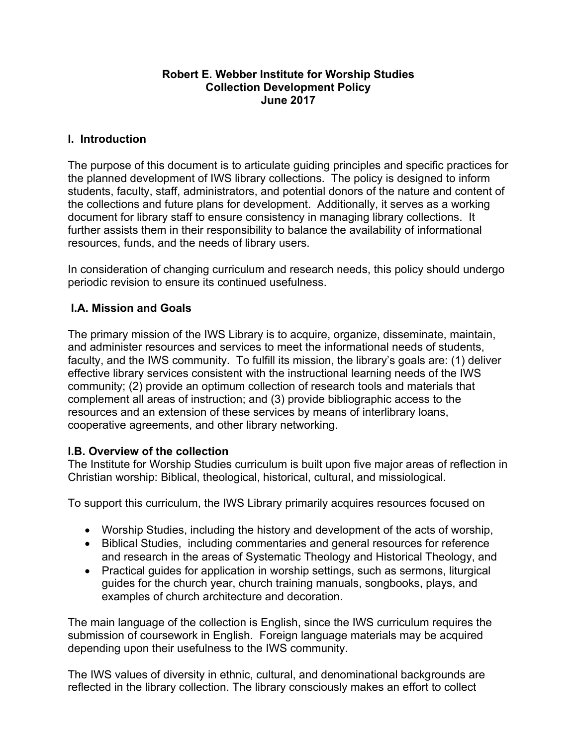#### **Robert E. Webber Institute for Worship Studies Collection Development Policy June 2017**

#### **I. Introduction**

The purpose of this document is to articulate guiding principles and specific practices for the planned development of IWS library collections. The policy is designed to inform students, faculty, staff, administrators, and potential donors of the nature and content of the collections and future plans for development. Additionally, it serves as a working document for library staff to ensure consistency in managing library collections. It further assists them in their responsibility to balance the availability of informational resources, funds, and the needs of library users.

In consideration of changing curriculum and research needs, this policy should undergo periodic revision to ensure its continued usefulness.

## **I.A. Mission and Goals**

The primary mission of the IWS Library is to acquire, organize, disseminate, maintain, and administer resources and services to meet the informational needs of students, faculty, and the IWS community. To fulfill its mission, the library's goals are: (1) deliver effective library services consistent with the instructional learning needs of the IWS community; (2) provide an optimum collection of research tools and materials that complement all areas of instruction; and (3) provide bibliographic access to the resources and an extension of these services by means of interlibrary loans, cooperative agreements, and other library networking.

#### **I.B. Overview of the collection**

The Institute for Worship Studies curriculum is built upon five major areas of reflection in Christian worship: Biblical, theological, historical, cultural, and missiological.

To support this curriculum, the IWS Library primarily acquires resources focused on

- Worship Studies, including the history and development of the acts of worship,
- Biblical Studies, including commentaries and general resources for reference and research in the areas of Systematic Theology and Historical Theology, and
- Practical guides for application in worship settings, such as sermons, liturgical guides for the church year, church training manuals, songbooks, plays, and examples of church architecture and decoration.

The main language of the collection is English, since the IWS curriculum requires the submission of coursework in English. Foreign language materials may be acquired depending upon their usefulness to the IWS community.

The IWS values of diversity in ethnic, cultural, and denominational backgrounds are reflected in the library collection. The library consciously makes an effort to collect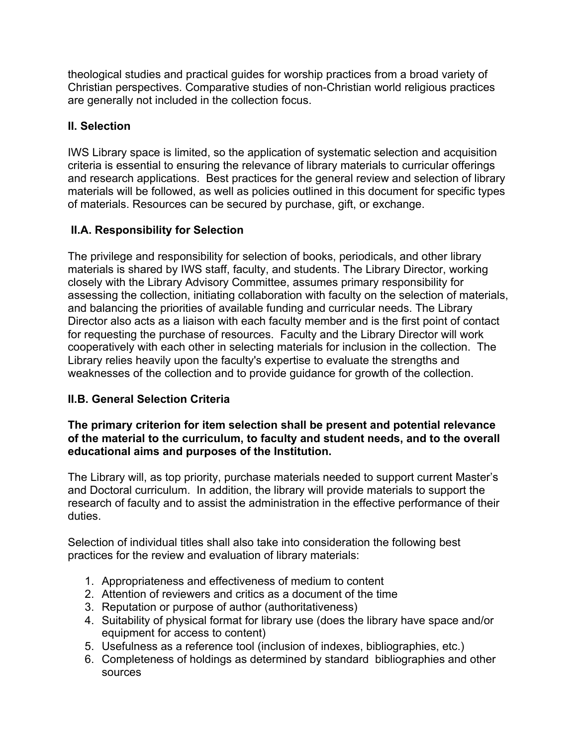theological studies and practical guides for worship practices from a broad variety of Christian perspectives. Comparative studies of non-Christian world religious practices are generally not included in the collection focus.

# **II. Selection**

IWS Library space is limited, so the application of systematic selection and acquisition criteria is essential to ensuring the relevance of library materials to curricular offerings and research applications. Best practices for the general review and selection of library materials will be followed, as well as policies outlined in this document for specific types of materials. Resources can be secured by purchase, gift, or exchange.

# **II.A. Responsibility for Selection**

The privilege and responsibility for selection of books, periodicals, and other library materials is shared by IWS staff, faculty, and students. The Library Director, working closely with the Library Advisory Committee, assumes primary responsibility for assessing the collection, initiating collaboration with faculty on the selection of materials, and balancing the priorities of available funding and curricular needs. The Library Director also acts as a liaison with each faculty member and is the first point of contact for requesting the purchase of resources. Faculty and the Library Director will work cooperatively with each other in selecting materials for inclusion in the collection. The Library relies heavily upon the faculty's expertise to evaluate the strengths and weaknesses of the collection and to provide guidance for growth of the collection.

# **II.B. General Selection Criteria**

### **The primary criterion for item selection shall be present and potential relevance of the material to the curriculum, to faculty and student needs, and to the overall educational aims and purposes of the Institution.**

The Library will, as top priority, purchase materials needed to support current Master's and Doctoral curriculum. In addition, the library will provide materials to support the research of faculty and to assist the administration in the effective performance of their duties.

Selection of individual titles shall also take into consideration the following best practices for the review and evaluation of library materials:

- 1. Appropriateness and effectiveness of medium to content
- 2. Attention of reviewers and critics as a document of the time
- 3. Reputation or purpose of author (authoritativeness)
- 4. Suitability of physical format for library use (does the library have space and/or equipment for access to content)
- 5. Usefulness as a reference tool (inclusion of indexes, bibliographies, etc.)
- 6. Completeness of holdings as determined by standard bibliographies and other sources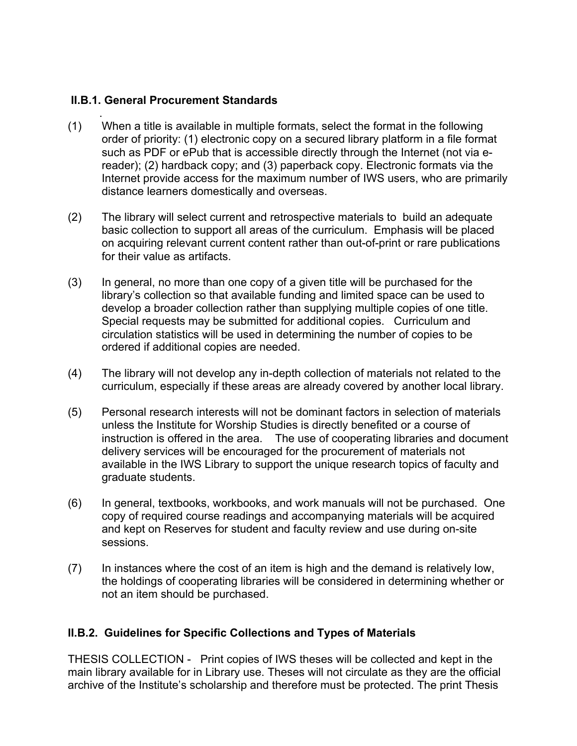### **II.B.1. General Procurement Standards**

- . (1) When a title is available in multiple formats, select the format in the following order of priority: (1) electronic copy on a secured library platform in a file format such as PDF or ePub that is accessible directly through the Internet (not via ereader); (2) hardback copy; and (3) paperback copy. Electronic formats via the Internet provide access for the maximum number of IWS users, who are primarily distance learners domestically and overseas.
- (2) The library will select current and retrospective materials to build an adequate basic collection to support all areas of the curriculum. Emphasis will be placed on acquiring relevant current content rather than out-of-print or rare publications for their value as artifacts.
- (3) In general, no more than one copy of a given title will be purchased for the library's collection so that available funding and limited space can be used to develop a broader collection rather than supplying multiple copies of one title. Special requests may be submitted for additional copies. Curriculum and circulation statistics will be used in determining the number of copies to be ordered if additional copies are needed.
- (4) The library will not develop any in-depth collection of materials not related to the curriculum, especially if these areas are already covered by another local library.
- (5) Personal research interests will not be dominant factors in selection of materials unless the Institute for Worship Studies is directly benefited or a course of instruction is offered in the area. The use of cooperating libraries and document delivery services will be encouraged for the procurement of materials not available in the IWS Library to support the unique research topics of faculty and graduate students.
- (6) In general, textbooks, workbooks, and work manuals will not be purchased. One copy of required course readings and accompanying materials will be acquired and kept on Reserves for student and faculty review and use during on-site sessions.
- (7) In instances where the cost of an item is high and the demand is relatively low, the holdings of cooperating libraries will be considered in determining whether or not an item should be purchased.

## **II.B.2. Guidelines for Specific Collections and Types of Materials**

THESIS COLLECTION - Print copies of IWS theses will be collected and kept in the main library available for in Library use. Theses will not circulate as they are the official archive of the Institute's scholarship and therefore must be protected. The print Thesis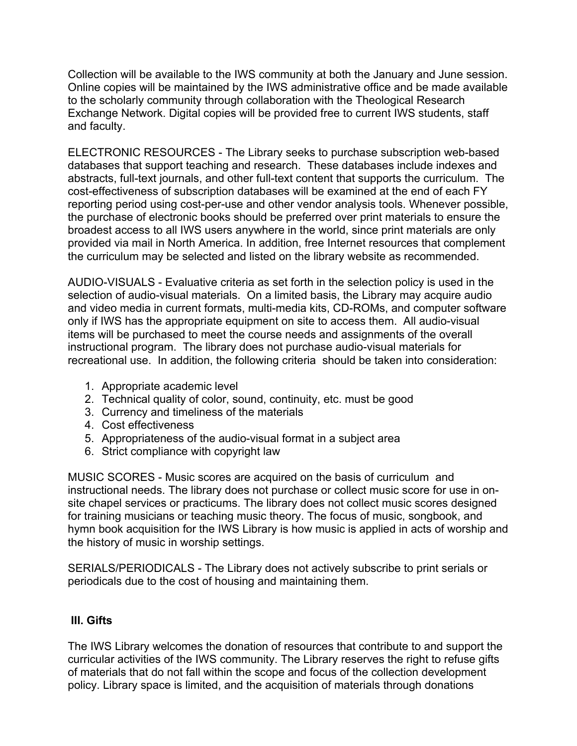Collection will be available to the IWS community at both the January and June session. Online copies will be maintained by the IWS administrative office and be made available to the scholarly community through collaboration with the Theological Research Exchange Network. Digital copies will be provided free to current IWS students, staff and faculty.

ELECTRONIC RESOURCES - The Library seeks to purchase subscription web-based databases that support teaching and research. These databases include indexes and abstracts, full-text journals, and other full-text content that supports the curriculum. The cost-effectiveness of subscription databases will be examined at the end of each FY reporting period using cost-per-use and other vendor analysis tools. Whenever possible, the purchase of electronic books should be preferred over print materials to ensure the broadest access to all IWS users anywhere in the world, since print materials are only provided via mail in North America. In addition, free Internet resources that complement the curriculum may be selected and listed on the library website as recommended.

AUDIO-VISUALS - Evaluative criteria as set forth in the selection policy is used in the selection of audio-visual materials. On a limited basis, the Library may acquire audio and video media in current formats, multi-media kits, CD-ROMs, and computer software only if IWS has the appropriate equipment on site to access them. All audio-visual items will be purchased to meet the course needs and assignments of the overall instructional program. The library does not purchase audio-visual materials for recreational use. In addition, the following criteria should be taken into consideration:

- 1. Appropriate academic level
- 2. Technical quality of color, sound, continuity, etc. must be good
- 3. Currency and timeliness of the materials
- 4. Cost effectiveness
- 5. Appropriateness of the audio-visual format in a subject area
- 6. Strict compliance with copyright law

MUSIC SCORES - Music scores are acquired on the basis of curriculum and instructional needs. The library does not purchase or collect music score for use in onsite chapel services or practicums. The library does not collect music scores designed for training musicians or teaching music theory. The focus of music, songbook, and hymn book acquisition for the IWS Library is how music is applied in acts of worship and the history of music in worship settings.

SERIALS/PERIODICALS - The Library does not actively subscribe to print serials or periodicals due to the cost of housing and maintaining them.

## **III. Gifts**

The IWS Library welcomes the donation of resources that contribute to and support the curricular activities of the IWS community. The Library reserves the right to refuse gifts of materials that do not fall within the scope and focus of the collection development policy. Library space is limited, and the acquisition of materials through donations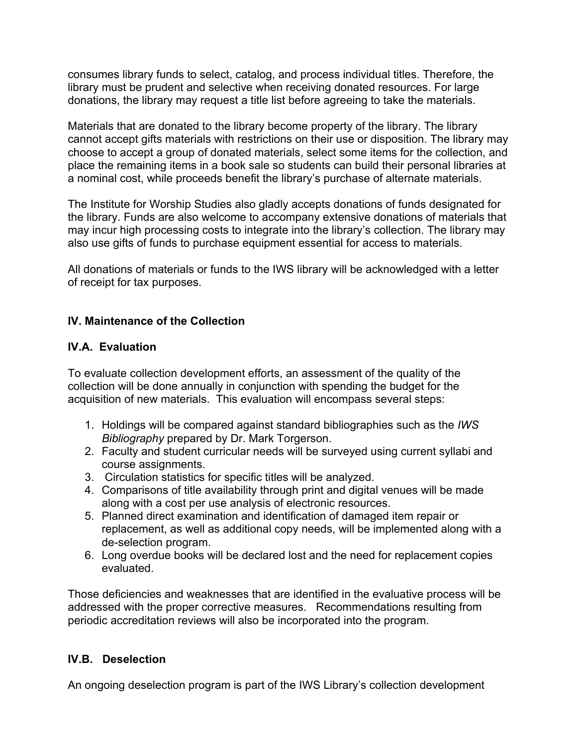consumes library funds to select, catalog, and process individual titles. Therefore, the library must be prudent and selective when receiving donated resources. For large donations, the library may request a title list before agreeing to take the materials.

Materials that are donated to the library become property of the library. The library cannot accept gifts materials with restrictions on their use or disposition. The library may choose to accept a group of donated materials, select some items for the collection, and place the remaining items in a book sale so students can build their personal libraries at a nominal cost, while proceeds benefit the library's purchase of alternate materials.

The Institute for Worship Studies also gladly accepts donations of funds designated for the library. Funds are also welcome to accompany extensive donations of materials that may incur high processing costs to integrate into the library's collection. The library may also use gifts of funds to purchase equipment essential for access to materials.

All donations of materials or funds to the IWS library will be acknowledged with a letter of receipt for tax purposes.

## **IV. Maintenance of the Collection**

## **IV.A. Evaluation**

To evaluate collection development efforts, an assessment of the quality of the collection will be done annually in conjunction with spending the budget for the acquisition of new materials. This evaluation will encompass several steps:

- 1. Holdings will be compared against standard bibliographies such as the *IWS Bibliography* prepared by Dr. Mark Torgerson.
- 2. Faculty and student curricular needs will be surveyed using current syllabi and course assignments.
- 3. Circulation statistics for specific titles will be analyzed.
- 4. Comparisons of title availability through print and digital venues will be made along with a cost per use analysis of electronic resources.
- 5. Planned direct examination and identification of damaged item repair or replacement, as well as additional copy needs, will be implemented along with a de-selection program.
- 6. Long overdue books will be declared lost and the need for replacement copies evaluated.

Those deficiencies and weaknesses that are identified in the evaluative process will be addressed with the proper corrective measures. Recommendations resulting from periodic accreditation reviews will also be incorporated into the program.

## **IV.B. Deselection**

An ongoing deselection program is part of the IWS Library's collection development